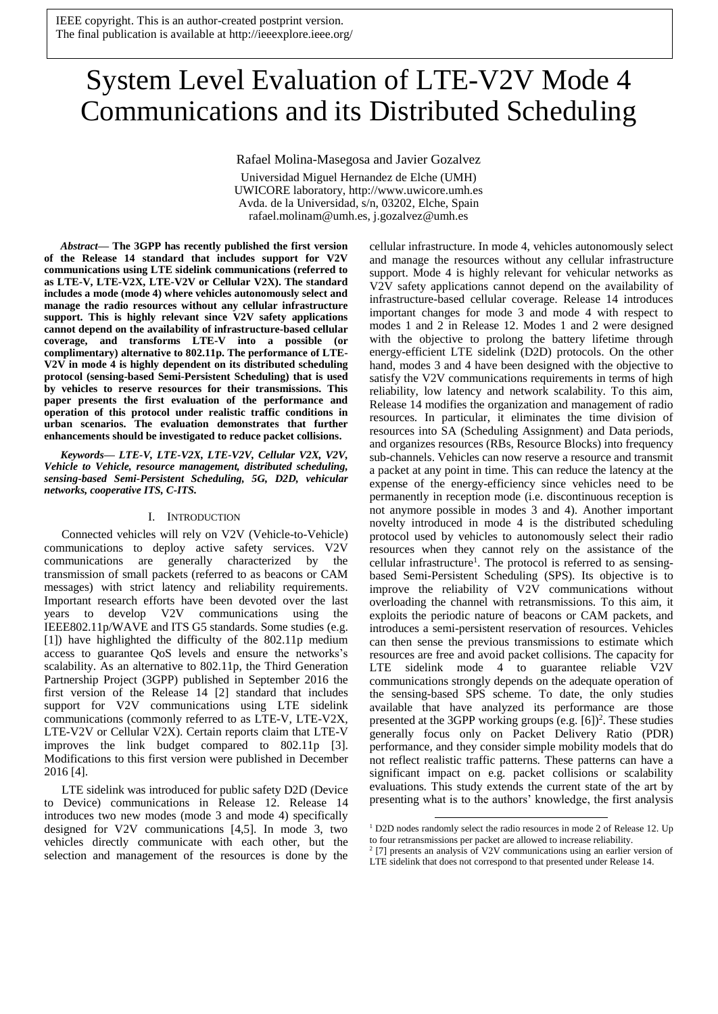# System Level Evaluation of LTE-V2V Mode 4 Communications and its Distributed Scheduling

Rafael Molina-Masegosa and Javier Gozalvez

Universidad Miguel Hernandez de Elche (UMH) UWICORE laboratory, http://www.uwicore.umh.es Avda. de la Universidad, s/n, 03202, Elche, Spain rafael.molinam@umh.es, j.gozalvez@umh.es

*Abstract***— The 3GPP has recently published the first version of the Release 14 standard that includes support for V2V communications using LTE sidelink communications (referred to as LTE-V, LTE-V2X, LTE-V2V or Cellular V2X). The standard includes a mode (mode 4) where vehicles autonomously select and manage the radio resources without any cellular infrastructure support. This is highly relevant since V2V safety applications cannot depend on the availability of infrastructure-based cellular coverage, and transforms LTE-V into a possible (or complimentary) alternative to 802.11p. The performance of LTE-V2V in mode 4 is highly dependent on its distributed scheduling protocol (sensing-based Semi-Persistent Scheduling) that is used by vehicles to reserve resources for their transmissions. This paper presents the first evaluation of the performance and operation of this protocol under realistic traffic conditions in urban scenarios. The evaluation demonstrates that further enhancements should be investigated to reduce packet collisions.**

*Keywords— LTE-V, LTE-V2X, LTE-V2V, Cellular V2X, V2V, Vehicle to Vehicle, resource management, distributed scheduling, sensing-based Semi-Persistent Scheduling, 5G, D2D, vehicular networks, cooperative ITS, C-ITS.*

# I. INTRODUCTION

Connected vehicles will rely on V2V (Vehicle-to-Vehicle) communications to deploy active safety services. V2V communications are generally characterized by the transmission of small packets (referred to as beacons or CAM messages) with strict latency and reliability requirements. Important research efforts have been devoted over the last years to develop V2V communications using the IEEE802.11p/WAVE and ITS G5 standards. Some studies (e.g. [1]) have highlighted the difficulty of the 802.11p medium access to guarantee QoS levels and ensure the networks's scalability. As an alternative to 802.11p, the Third Generation Partnership Project (3GPP) published in September 2016 the first version of the Release 14 [2] standard that includes support for V2V communications using LTE sidelink communications (commonly referred to as LTE-V, LTE-V2X, LTE-V2V or Cellular V2X). Certain reports claim that LTE-V improves the link budget compared to 802.11p [3]. Modifications to this first version were published in December 2016 [4].

LTE sidelink was introduced for public safety D2D (Device to Device) communications in Release 12. Release 14 introduces two new modes (mode 3 and mode 4) specifically designed for V2V communications [4,5]. In mode 3, two vehicles directly communicate with each other, but the selection and management of the resources is done by the cellular infrastructure. In mode 4, vehicles autonomously select and manage the resources without any cellular infrastructure support. Mode 4 is highly relevant for vehicular networks as V2V safety applications cannot depend on the availability of infrastructure-based cellular coverage. Release 14 introduces important changes for mode 3 and mode 4 with respect to modes 1 and 2 in Release 12. Modes 1 and 2 were designed with the objective to prolong the battery lifetime through energy-efficient LTE sidelink (D2D) protocols. On the other hand, modes 3 and 4 have been designed with the objective to satisfy the V2V communications requirements in terms of high reliability, low latency and network scalability. To this aim, Release 14 modifies the organization and management of radio resources. In particular, it eliminates the time division of resources into SA (Scheduling Assignment) and Data periods, and organizes resources (RBs, Resource Blocks) into frequency sub-channels. Vehicles can now reserve a resource and transmit a packet at any point in time. This can reduce the latency at the expense of the energy-efficiency since vehicles need to be permanently in reception mode (i.e. discontinuous reception is not anymore possible in modes 3 and 4). Another important novelty introduced in mode 4 is the distributed scheduling protocol used by vehicles to autonomously select their radio resources when they cannot rely on the assistance of the cellular infrastructure<sup>1</sup>. The protocol is referred to as sensingbased Semi-Persistent Scheduling (SPS). Its objective is to improve the reliability of V2V communications without overloading the channel with retransmissions. To this aim, it exploits the periodic nature of beacons or CAM packets, and introduces a semi-persistent reservation of resources. Vehicles can then sense the previous transmissions to estimate which resources are free and avoid packet collisions. The capacity for LTE sidelink mode 4 to guarantee reliable V2V communications strongly depends on the adequate operation of the sensing-based SPS scheme. To date, the only studies available that have analyzed its performance are those presented at the 3GPP working groups (e.g. [6]) 2 . These studies generally focus only on Packet Delivery Ratio (PDR) performance, and they consider simple mobility models that do not reflect realistic traffic patterns. These patterns can have a significant impact on e.g. packet collisions or scalability evaluations. This study extends the current state of the art by presenting what is to the authors' knowledge, the first analysis

-

<sup>&</sup>lt;sup>1</sup> D2D nodes randomly select the radio resources in mode 2 of Release 12. Up to four retransmissions per packet are allowed to increase reliability.

<sup>&</sup>lt;sup>2</sup> [7] presents an analysis of V2V communications using an earlier version of

LTE sidelink that does not correspond to that presented under Release 14.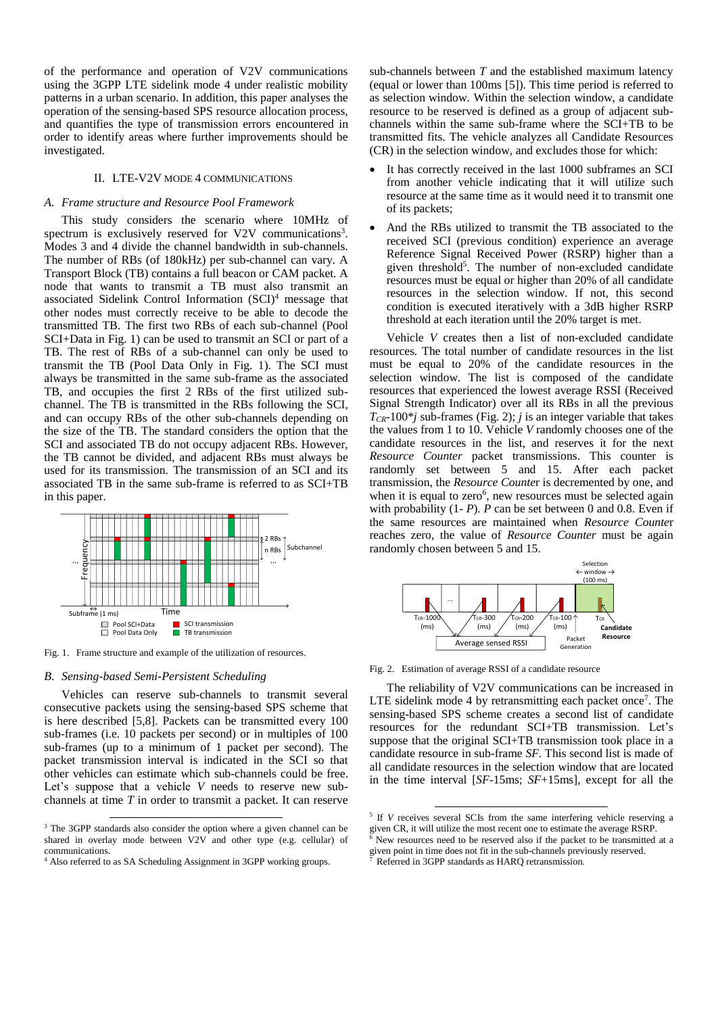of the performance and operation of V2V communications using the 3GPP LTE sidelink mode 4 under realistic mobility patterns in a urban scenario. In addition, this paper analyses the operation of the sensing-based SPS resource allocation process, and quantifies the type of transmission errors encountered in order to identify areas where further improvements should be investigated.

# II. LTE-V2V MODE 4 COMMUNICATIONS

# *A. Frame structure and Resource Pool Framework*

This study considers the scenario where 10MHz of spectrum is exclusively reserved for V2V communications<sup>3</sup>. Modes 3 and 4 divide the channel bandwidth in sub-channels. The number of RBs (of 180kHz) per sub-channel can vary. A Transport Block (TB) contains a full beacon or CAM packet. A node that wants to transmit a TB must also transmit an associated Sidelink Control Information (SCI)<sup>4</sup> message that other nodes must correctly receive to be able to decode the transmitted TB. The first two RBs of each sub-channel (Pool SCI+Data in Fig. 1) can be used to transmit an SCI or part of a TB. The rest of RBs of a sub-channel can only be used to transmit the TB (Pool Data Only in Fig. 1). The SCI must always be transmitted in the same sub-frame as the associated TB, and occupies the first 2 RBs of the first utilized subchannel. The TB is transmitted in the RBs following the SCI, and can occupy RBs of the other sub-channels depending on the size of the TB. The standard considers the option that the SCI and associated TB do not occupy adjacent RBs. However, the TB cannot be divided, and adjacent RBs must always be used for its transmission. The transmission of an SCI and its associated TB in the same sub-frame is referred to as SCI+TB in this paper.



Fig. 1. Frame structure and example of the utilization of resources.

# *B. Sensing-based Semi-Persistent Scheduling*

-

Vehicles can reserve sub-channels to transmit several consecutive packets using the sensing-based SPS scheme that is here described [5,8]. Packets can be transmitted every 100 sub-frames (i.e. 10 packets per second) or in multiples of 100 sub-frames (up to a minimum of 1 packet per second). The packet transmission interval is indicated in the SCI so that other vehicles can estimate which sub-channels could be free. Let's suppose that a vehicle *V* needs to reserve new subchannels at time *T* in order to transmit a packet. It can reserve sub-channels between *T* and the established maximum latency (equal or lower than 100ms [5]). This time period is referred to as selection window. Within the selection window, a candidate resource to be reserved is defined as a group of adjacent subchannels within the same sub-frame where the SCI+TB to be transmitted fits. The vehicle analyzes all Candidate Resources (CR) in the selection window, and excludes those for which:

- It has correctly received in the last 1000 subframes an SCI from another vehicle indicating that it will utilize such resource at the same time as it would need it to transmit one of its packets;
- And the RBs utilized to transmit the TB associated to the received SCI (previous condition) experience an average Reference Signal Received Power (RSRP) higher than a given threshold<sup>5</sup>. The number of non-excluded candidate resources must be equal or higher than 20% of all candidate resources in the selection window. If not, this second condition is executed iteratively with a 3dB higher RSRP threshold at each iteration until the 20% target is met.

Vehicle *V* creates then a list of non-excluded candidate resources. The total number of candidate resources in the list must be equal to 20% of the candidate resources in the selection window. The list is composed of the candidate resources that experienced the lowest average RSSI (Received Signal Strength Indicator) over all its RBs in all the previous  $T_{CR}$ -100<sup>\*</sup>*j* sub-frames (Fig. 2); *j* is an integer variable that takes the values from 1 to 10. Vehicle *V* randomly chooses one of the candidate resources in the list, and reserves it for the next *Resource Counter* packet transmissions. This counter is randomly set between 5 and 15. After each packet transmission, the *Resource Counte*r is decremented by one, and when it is equal to zero<sup>6</sup>, new resources must be selected again with probability (1- *P*). *P* can be set between 0 and 0.8. Even if the same resources are maintained when *Resource Counte*r reaches zero, the value of *Resource Counter* must be again randomly chosen between 5 and 15.



Fig. 2. Estimation of average RSSI of a candidate resource

The reliability of V2V communications can be increased in LTE sidelink mode 4 by retransmitting each packet once<sup>7</sup>. The sensing-based SPS scheme creates a second list of candidate resources for the redundant SCI+TB transmission. Let's suppose that the original SCI+TB transmission took place in a candidate resource in sub-frame *SF.* This second list is made of all candidate resources in the selection window that are located in the time interval [*SF*-15ms; *SF*+15ms], except for all the

Referred in 3GPP standards as HARQ retransmission.

-

<sup>&</sup>lt;sup>3</sup> The 3GPP standards also consider the option where a given channel can be shared in overlay mode between V2V and other type (e.g. cellular) of communications.

<sup>&</sup>lt;sup>4</sup> Also referred to as SA Scheduling Assignment in 3GPP working groups.

<sup>&</sup>lt;sup>5</sup> If *V* receives several SCIs from the same interfering vehicle reserving a given CR, it will utilize the most recent one to estimate the average RSRP.

<sup>6</sup> New resources need to be reserved also if the packet to be transmitted at a given point in time does not fit in the sub-channels previously reserved.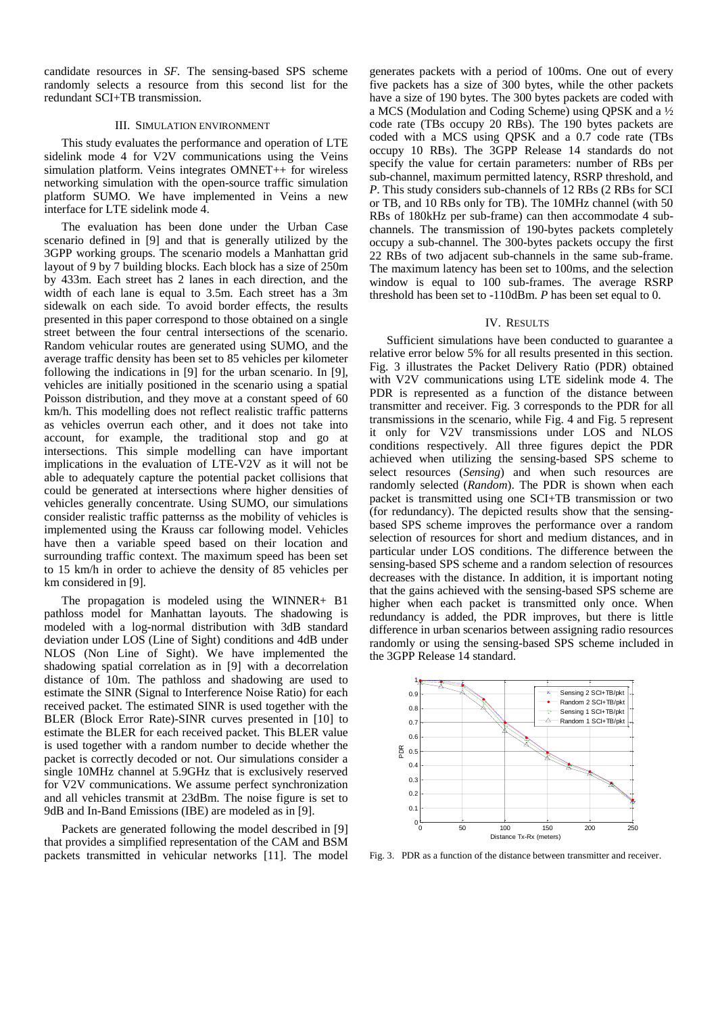candidate resources in *SF.* The sensing-based SPS scheme randomly selects a resource from this second list for the redundant SCI+TB transmission.

# III. SIMULATION ENVIRONMENT

This study evaluates the performance and operation of LTE sidelink mode 4 for V2V communications using the Veins simulation platform. Veins integrates OMNET++ for wireless networking simulation with the open-source traffic simulation platform SUMO. We have implemented in Veins a new interface for LTE sidelink mode 4.

The evaluation has been done under the Urban Case scenario defined in [9] and that is generally utilized by the 3GPP working groups. The scenario models a Manhattan grid layout of 9 by 7 building blocks. Each block has a size of 250m by 433m. Each street has 2 lanes in each direction, and the width of each lane is equal to 3.5m. Each street has a 3m sidewalk on each side. To avoid border effects, the results presented in this paper correspond to those obtained on a single street between the four central intersections of the scenario. Random vehicular routes are generated using SUMO, and the average traffic density has been set to 85 vehicles per kilometer following the indications in [9] for the urban scenario. In [9], vehicles are initially positioned in the scenario using a spatial Poisson distribution, and they move at a constant speed of 60 km/h. This modelling does not reflect realistic traffic patterns as vehicles overrun each other, and it does not take into account, for example, the traditional stop and go at intersections. This simple modelling can have important implications in the evaluation of LTE-V2V as it will not be able to adequately capture the potential packet collisions that could be generated at intersections where higher densities of vehicles generally concentrate. Using SUMO, our simulations consider realistic traffic patternss as the mobility of vehicles is implemented using the Krauss car following model. Vehicles have then a variable speed based on their location and surrounding traffic context. The maximum speed has been set to 15 km/h in order to achieve the density of 85 vehicles per km considered in [9].

The propagation is modeled using the WINNER+ B1 pathloss model for Manhattan layouts. The shadowing is modeled with a log-normal distribution with 3dB standard deviation under LOS (Line of Sight) conditions and 4dB under NLOS (Non Line of Sight). We have implemented the shadowing spatial correlation as in [9] with a decorrelation distance of 10m. The pathloss and shadowing are used to estimate the SINR (Signal to Interference Noise Ratio) for each received packet. The estimated SINR is used together with the BLER (Block Error Rate)-SINR curves presented in [10] to estimate the BLER for each received packet. This BLER value is used together with a random number to decide whether the packet is correctly decoded or not. Our simulations consider a single 10MHz channel at 5.9GHz that is exclusively reserved for V2V communications. We assume perfect synchronization and all vehicles transmit at 23dBm. The noise figure is set to 9dB and In-Band Emissions (IBE) are modeled as in [9].

Packets are generated following the model described in [9] that provides a simplified representation of the CAM and BSM packets transmitted in vehicular networks [11]. The model

generates packets with a period of 100ms. One out of every five packets has a size of 300 bytes, while the other packets have a size of 190 bytes. The 300 bytes packets are coded with a MCS (Modulation and Coding Scheme) using QPSK and a ½ code rate (TBs occupy 20 RBs). The 190 bytes packets are coded with a MCS using QPSK and a 0.7 code rate (TBs occupy 10 RBs). The 3GPP Release 14 standards do not specify the value for certain parameters: number of RBs per sub-channel, maximum permitted latency, RSRP threshold, and *P*. This study considers sub-channels of 12 RBs (2 RBs for SCI or TB, and 10 RBs only for TB). The 10MHz channel (with 50 RBs of 180kHz per sub-frame) can then accommodate 4 subchannels. The transmission of 190-bytes packets completely occupy a sub-channel. The 300-bytes packets occupy the first 22 RBs of two adjacent sub-channels in the same sub-frame. The maximum latency has been set to 100ms, and the selection window is equal to 100 sub-frames. The average RSRP threshold has been set to -110dBm. *P* has been set equal to 0.

# IV. RESULTS

Sufficient simulations have been conducted to guarantee a relative error below 5% for all results presented in this section. Fig. 3 illustrates the Packet Delivery Ratio (PDR) obtained with V2V communications using LTE sidelink mode 4. The PDR is represented as a function of the distance between transmitter and receiver. Fig. 3 corresponds to the PDR for all transmissions in the scenario, while Fig. 4 and Fig. 5 represent it only for V2V transmissions under LOS and NLOS conditions respectively. All three figures depict the PDR achieved when utilizing the sensing-based SPS scheme to select resources (*Sensing*) and when such resources are randomly selected (*Random*). The PDR is shown when each packet is transmitted using one SCI+TB transmission or two (for redundancy). The depicted results show that the sensingbased SPS scheme improves the performance over a random selection of resources for short and medium distances, and in particular under LOS conditions. The difference between the sensing-based SPS scheme and a random selection of resources decreases with the distance. In addition, it is important noting that the gains achieved with the sensing-based SPS scheme are higher when each packet is transmitted only once. When redundancy is added, the PDR improves, but there is little difference in urban scenarios between assigning radio resources randomly or using the sensing-based SPS scheme included in the 3GPP Release 14 standard.



Fig. 3. PDR as a function of the distance between transmitter and receiver.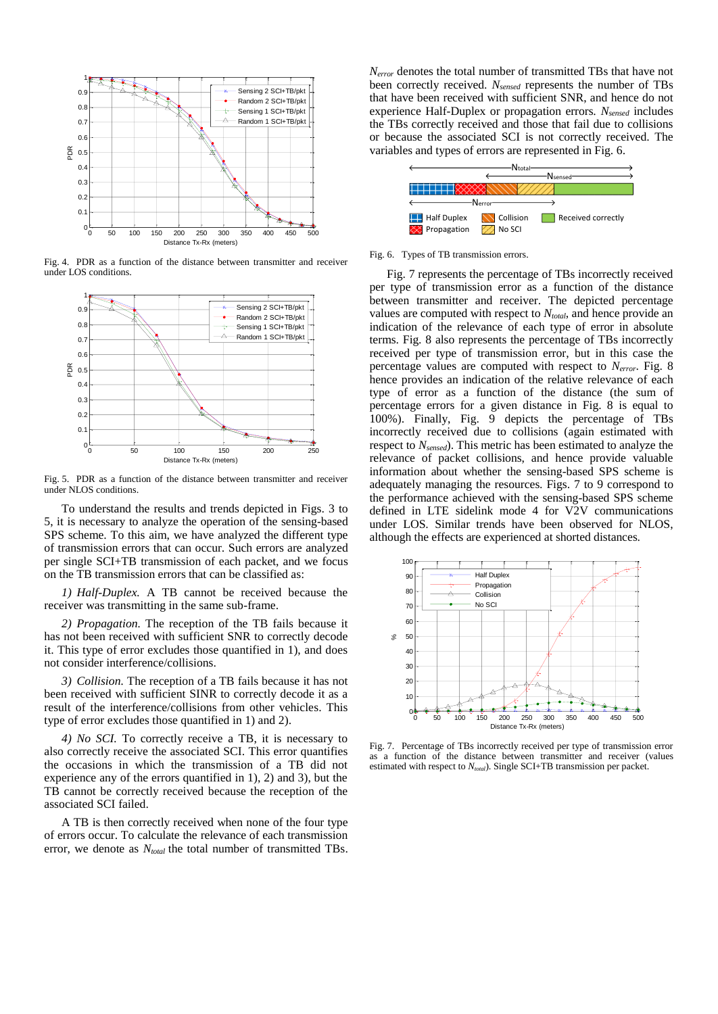

Fig. 4. PDR as a function of the distance between transmitter and receiver under LOS conditions.



Fig. 5. PDR as a function of the distance between transmitter and receiver under NLOS conditions.

To understand the results and trends depicted in Figs. 3 to 5, it is necessary to analyze the operation of the sensing-based SPS scheme. To this aim, we have analyzed the different type of transmission errors that can occur. Such errors are analyzed per single SCI+TB transmission of each packet, and we focus on the TB transmission errors that can be classified as:

*1) Half-Duplex.* A TB cannot be received because the receiver was transmitting in the same sub-frame.

*2) Propagation.* The reception of the TB fails because it has not been received with sufficient SNR to correctly decode it. This type of error excludes those quantified in 1), and does not consider interference/collisions.

*3) Collision.* The reception of a TB fails because it has not been received with sufficient SINR to correctly decode it as a result of the interference/collisions from other vehicles. This type of error excludes those quantified in 1) and 2).

*4) No SCI.* To correctly receive a TB, it is necessary to also correctly receive the associated SCI. This error quantifies the occasions in which the transmission of a TB did not experience any of the errors quantified in 1), 2) and 3), but the TB cannot be correctly received because the reception of the associated SCI failed.

A TB is then correctly received when none of the four type of errors occur. To calculate the relevance of each transmission error, we denote as  $N_{total}$  the total number of transmitted TBs.

*Nerror* denotes the total number of transmitted TBs that have not been correctly received. *Nsensed* represents the number of TBs that have been received with sufficient SNR, and hence do not experience Half-Duplex or propagation errors. *Nsensed* includes the TBs correctly received and those that fail due to collisions or because the associated SCI is not correctly received. The variables and types of errors are represented in Fig. 6.



# Fig. 6. Types of TB transmission errors.

Fig. 7 represents the percentage of TBs incorrectly received per type of transmission error as a function of the distance between transmitter and receiver. The depicted percentage values are computed with respect to *Ntotal*, and hence provide an indication of the relevance of each type of error in absolute terms. Fig. 8 also represents the percentage of TBs incorrectly received per type of transmission error, but in this case the percentage values are computed with respect to *Nerror*. Fig. 8 hence provides an indication of the relative relevance of each type of error as a function of the distance (the sum of percentage errors for a given distance in Fig. 8 is equal to 100%). Finally, Fig. 9 depicts the percentage of TBs incorrectly received due to collisions (again estimated with respect to *Nsensed*). This metric has been estimated to analyze the relevance of packet collisions, and hence provide valuable information about whether the sensing-based SPS scheme is adequately managing the resources. Figs. 7 to 9 correspond to the performance achieved with the sensing-based SPS scheme defined in LTE sidelink mode 4 for V2V communications under LOS. Similar trends have been observed for NLOS, although the effects are experienced at shorted distances.



Fig. 7. Percentage of TBs incorrectly received per type of transmission error a function of the distance between transmitter and receiver (values estimated with respect to *Ntotal*). Single SCI+TB transmission per packet.